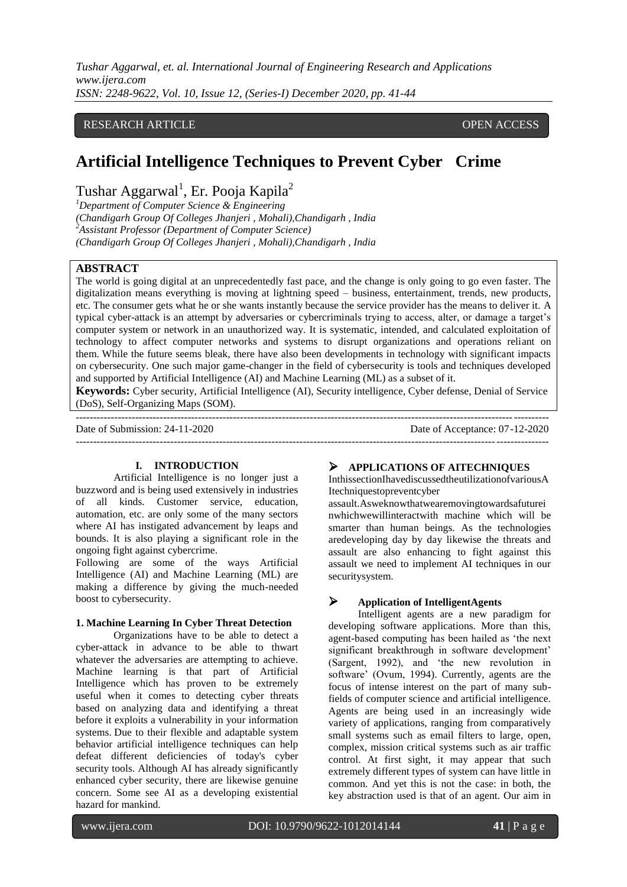*Tushar Aggarwal, et. al. International Journal of Engineering Research and Applications www.ijera.com ISSN: 2248-9622, Vol. 10, Issue 12, (Series-I) December 2020, pp. 41-44*

# RESEARCH ARTICLE **CONTRACT ARTICLE** AND A SERVICE OPEN ACCESS OPEN ACCESS

# **Artificial Intelligence Techniques to Prevent Cyber Crime**

Tushar Aggarwal $^1$ , Er. Pooja Kapila $^2$ 

*<sup>1</sup>Department of Computer Science & Engineering (Chandigarh Group Of Colleges Jhanjeri , Mohali),Chandigarh , India <sup>2</sup>Assistant Professor (Department of Computer Science) (Chandigarh Group Of Colleges Jhanjeri , Mohali),Chandigarh , India*

## **ABSTRACT**

The world is going digital at an unprecedentedly fast pace, and the change is only going to go even faster. The digitalization means everything is moving at lightning speed – business, entertainment, trends, new products, etc. The consumer gets what he or she wants instantly because the service provider has the means to deliver it. A typical cyber-attack is an attempt by adversaries or cybercriminals trying to access, alter, or damage a target"s computer system or network in an unauthorized way. It is systematic, intended, and calculated exploitation of technology to affect computer networks and systems to disrupt organizations and operations reliant on them. While the future seems bleak, there have also been developments in technology with significant impacts on cybersecurity. One such major game-changer in the field of cybersecurity is tools and techniques developed and supported by Artificial Intelligence (AI) and Machine Learning (ML) as a subset of it.

**Keywords:** Cyber security, Artificial Intelligence (AI), Security intelligence, Cyber defense, Denial of Service (DoS), Self-Organizing Maps (SOM).

---------------------------------------------------------------------------------------------------------------------------------------

---------------------------------------------------------------------------------------------------------------------------------------

Date of Submission: 24-11-2020 Date of Acceptance: 07-12-2020

#### **I. INTRODUCTION**

Artificial Intelligence is no longer just a buzzword and is being used extensively in industries of all kinds. Customer service, education, automation, etc. are only some of the many sectors where AI has instigated advancement by leaps and bounds. It is also playing a significant role in the ongoing fight against cybercrime.

Following are some of the ways Artificial Intelligence (AI) and Machine Learning (ML) are making a difference by giving the much-needed boost to cybersecurity.

#### **1. Machine Learning In Cyber Threat Detection**

Organizations have to be able to detect a cyber-attack in advance to be able to thwart whatever the adversaries are attempting to achieve. Machine learning is that part of Artificial Intelligence which has proven to be extremely useful when it comes to detecting cyber threats based on analyzing data and identifying a threat before it exploits a vulnerability in your information systems. Due to their flexible and adaptable system behavior artificial intelligence techniques can help defeat different deficiencies of today's cyber security tools. Although AI has already significantly enhanced cyber security, there are likewise genuine concern. Some see AI as a developing existential hazard for mankind.

#### **APPLICATIONS OF AITECHNIQUES**

InthissectionIhavediscussedtheutilizationofvariousA Itechniquestopreventcyber

assault.Asweknowthatwearemovingtowardsafuturei nwhichwewillinteractwith machine which will be smarter than human beings. As the technologies aredeveloping day by day likewise the threats and assault are also enhancing to fight against this assault we need to implement AI techniques in our securitysystem.

## **Application of IntelligentAgents**

Intelligent agents are a new paradigm for developing software applications. More than this, agent-based computing has been hailed as "the next significant breakthrough in software development' (Sargent, 1992), and "the new revolution in software" (Ovum, 1994). Currently, agents are the focus of intense interest on the part of many subfields of computer science and artificial intelligence. Agents are being used in an increasingly wide variety of applications, ranging from comparatively small systems such as email filters to large, open, complex, mission critical systems such as air traffic control. At first sight, it may appear that such extremely different types of system can have little in common. And yet this is not the case: in both, the key abstraction used is that of an agent. Our aim in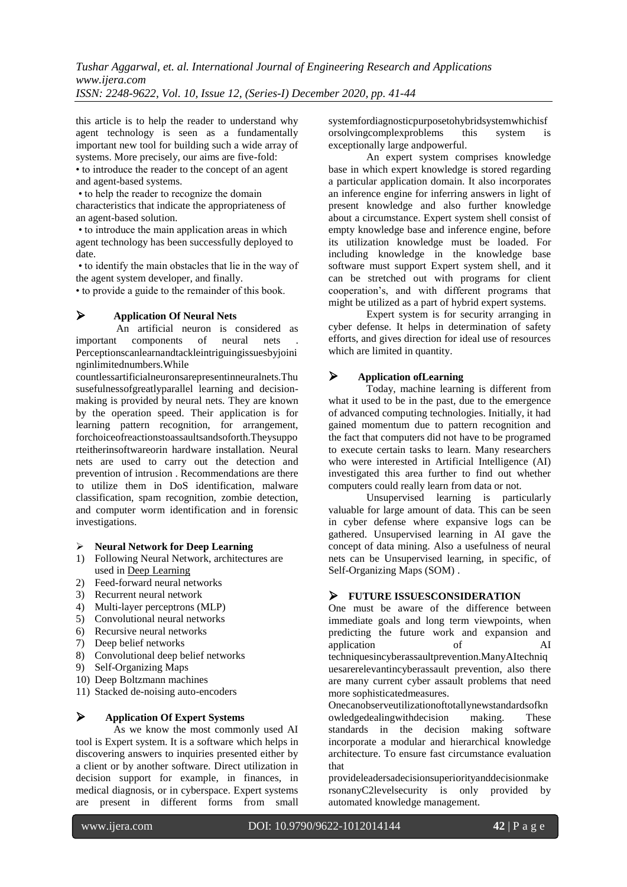this article is to help the reader to understand why agent technology is seen as a fundamentally important new tool for building such a wide array of systems. More precisely, our aims are five-fold:

• to introduce the reader to the concept of an agent and agent-based systems.

• to help the reader to recognize the domain characteristics that indicate the appropriateness of an agent-based solution.

• to introduce the main application areas in which agent technology has been successfully deployed to date.

• to identify the main obstacles that lie in the way of the agent system developer, and finally.

• to provide a guide to the remainder of this book.

## **Application Of Neural Nets**

An artificial neuron is considered as<br>t components of neural nets. important components of neural nets Perceptionscanlearnandtackleintriguingissuesbyjoini nginlimitednumbers.While

countlessartificialneuronsarepresentinneuralnets.Thu susefulnessofgreatlyparallel learning and decisionmaking is provided by neural nets. They are known by the operation speed. Their application is for learning pattern recognition, for arrangement, forchoiceofreactionstoassaultsandsoforth.Theysuppo rteitherinsoftwareorin hardware installation. Neural nets are used to carry out the detection and prevention of intrusion . Recommendations are there to utilize them in DoS identification, malware classification, spam recognition, zombie detection, and computer worm identification and in forensic investigations.

#### **Neural Network for Deep Learning**

- 1) Following Neural Network, architectures are used in [Deep Learning](https://www.xenonstack.com/big-data-analytics/data-science/)
- 2) Feed-forward neural networks
- 3) Recurrent neural network
- 4) Multi-layer perceptrons (MLP)
- 5) Convolutional neural networks
- 6) Recursive neural networks
- 7) Deep belief networks
- 8) Convolutional deep belief networks
- 9) Self-Organizing Maps
- 10) Deep Boltzmann machines
- 11) Stacked de-noising auto-encoders

## **Application Of Expert Systems**

As we know the most commonly used AI tool is Expert system. It is a software which helps in discovering answers to inquiries presented either by a client or by another software. Direct utilization in decision support for example, in finances, in medical diagnosis, or in cyberspace. Expert systems are present in different forms from small systemfordiagnosticpurposetohybridsystemwhichisf<br>orsolvingcomplexproblems this system is orsolvingcomplexproblems exceptionally large andpowerful.

An expert system comprises knowledge base in which expert knowledge is stored regarding a particular application domain. It also incorporates an inference engine for inferring answers in light of present knowledge and also further knowledge about a circumstance. Expert system shell consist of empty knowledge base and inference engine, before its utilization knowledge must be loaded. For including knowledge in the knowledge base software must support Expert system shell, and it can be stretched out with programs for client cooperation"s, and with different programs that might be utilized as a part of hybrid expert systems.

Expert system is for security arranging in cyber defense. It helps in determination of safety efforts, and gives direction for ideal use of resources which are limited in quantity.

# **Application ofLearning**

Today, machine learning is different from what it used to be in the past, due to the emergence of advanced computing technologies. Initially, it had gained momentum due to pattern recognition and the fact that computers did not have to be programed to execute certain tasks to learn. Many researchers who were interested in Artificial Intelligence (AI) investigated this area further to find out whether computers could really learn from data or not.

Unsupervised learning is particularly valuable for large amount of data. This can be seen in cyber defense where expansive logs can be gathered. Unsupervised learning in AI gave the concept of data mining. Also a usefulness of neural nets can be Unsupervised learning, in specific, of Self-Organizing Maps (SOM) .

# **FUTURE ISSUESCONSIDERATION**

One must be aware of the difference between immediate goals and long term viewpoints, when predicting the future work and expansion and application of AI techniquesincyberassaultprevention.ManyAItechniq uesarerelevantincyberassault prevention, also there are many current cyber assault problems that need more sophisticatedmeasures.

Onecanobserveutilizationoftotallynewstandardsofkn owledgedealingwithdecision making. These standards in the decision making software incorporate a modular and hierarchical knowledge architecture. To ensure fast circumstance evaluation that

provideleadersadecisionsuperiorityanddecisionmake rsonanyC2levelsecurity is only provided by automated knowledge management.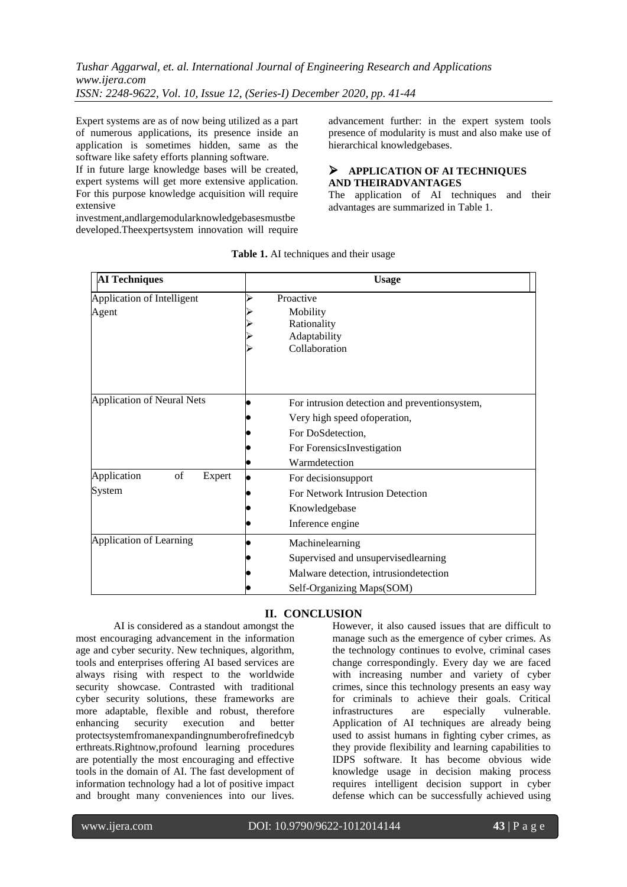*Tushar Aggarwal, et. al. International Journal of Engineering Research and Applications www.ijera.com ISSN: 2248-9622, Vol. 10, Issue 12, (Series-I) December 2020, pp. 41-44*

Expert systems are as of now being utilized as a part of numerous applications, its presence inside an application is sometimes hidden, same as the software like safety efforts planning software.

If in future large knowledge bases will be created, expert systems will get more extensive application. For this purpose knowledge acquisition will require extensive

investment,andlargemodularknowledgebasesmustbe developed.Theexpertsystem innovation will require advancement further: in the expert system tools presence of modularity is must and also make use of hierarchical knowledgebases.

## **APPLICATION OF AI TECHNIQUES AND THEIRADVANTAGES**

The application of AI techniques and their advantages are summarized in Table 1.

| <b>AI Techniques</b>                  | <b>Usage</b>                                                                                                                                       |
|---------------------------------------|----------------------------------------------------------------------------------------------------------------------------------------------------|
| Application of Intelligent<br>Agent   | Proactive<br>Mobility<br>Rationality<br>Adaptability<br>Collaboration                                                                              |
| <b>Application of Neural Nets</b>     | For intrusion detection and preventionsystem,<br>Very high speed of operation,<br>For DoSdetection,<br>For ForensicsInvestigation<br>Warmdetection |
| of<br>Application<br>Expert<br>System | For decisionsupport<br>For Network Intrusion Detection<br>Knowledgebase<br>Inference engine                                                        |
| Application of Learning               | Machinelearning<br>Supervised and unsupervisedlearning<br>Malware detection, intrusiondetection<br>Self-Organizing Maps(SOM)                       |

#### **Table 1.** AI techniques and their usage

## **II. CONCLUSION**

AI is considered as a standout amongst the most encouraging advancement in the information age and cyber security. New techniques, algorithm, tools and enterprises offering AI based services are always rising with respect to the worldwide security showcase. Contrasted with traditional cyber security solutions, these frameworks are more adaptable, flexible and robust, therefore enhancing security execution and better protectsystemfromanexpandingnumberofrefinedcyb erthreats.Rightnow,profound learning procedures are potentially the most encouraging and effective tools in the domain of AI. The fast development of information technology had a lot of positive impact and brought many conveniences into our lives.

However, it also caused issues that are difficult to manage such as the emergence of cyber crimes. As the technology continues to evolve, criminal cases change correspondingly. Every day we are faced with increasing number and variety of cyber crimes, since this technology presents an easy way for criminals to achieve their goals. Critical infrastructures are especially vulnerable. Application of AI techniques are already being used to assist humans in fighting cyber crimes, as they provide flexibility and learning capabilities to IDPS software. It has become obvious wide knowledge usage in decision making process requires intelligent decision support in cyber defense which can be successfully achieved using